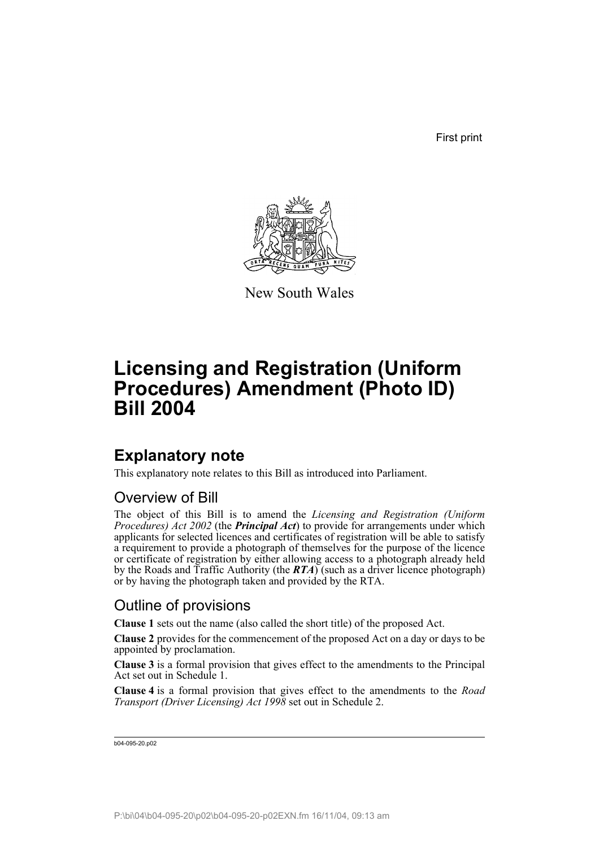First print



New South Wales

# **Licensing and Registration (Uniform Procedures) Amendment (Photo ID) Bill 2004**

## **Explanatory note**

This explanatory note relates to this Bill as introduced into Parliament.

## Overview of Bill

The object of this Bill is to amend the *Licensing and Registration (Uniform Procedures) Act 2002* (the *Principal Act*) to provide for arrangements under which applicants for selected licences and certificates of registration will be able to satisfy a requirement to provide a photograph of themselves for the purpose of the licence or certificate of registration by either allowing access to a photograph already held by the Roads and Traffic Authority (the *RTA*) (such as a driver licence photograph) or by having the photograph taken and provided by the RTA.

## Outline of provisions

**Clause 1** sets out the name (also called the short title) of the proposed Act.

**Clause 2** provides for the commencement of the proposed Act on a day or days to be appointed by proclamation.

**Clause 3** is a formal provision that gives effect to the amendments to the Principal Act set out in Schedule 1.

**Clause 4** is a formal provision that gives effect to the amendments to the *Road Transport (Driver Licensing) Act 1998* set out in Schedule 2.

```
b04-095-20.p02
```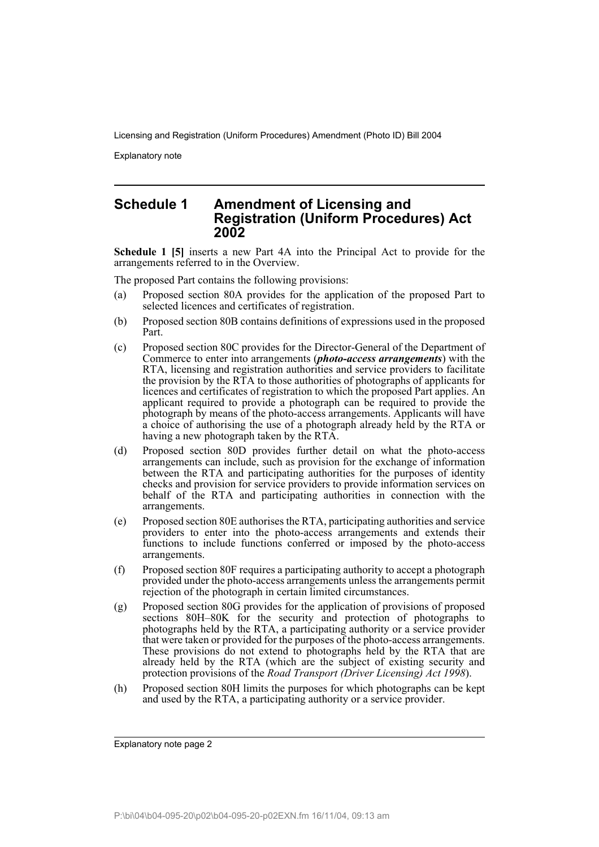Explanatory note

### **Schedule 1 Amendment of Licensing and Registration (Uniform Procedures) Act 2002**

**Schedule 1 [5]** inserts a new Part 4A into the Principal Act to provide for the arrangements referred to in the Overview.

The proposed Part contains the following provisions:

- (a) Proposed section 80A provides for the application of the proposed Part to selected licences and certificates of registration.
- (b) Proposed section 80B contains definitions of expressions used in the proposed Part.
- (c) Proposed section 80C provides for the Director-General of the Department of Commerce to enter into arrangements (*photo-access arrangements*) with the RTA, licensing and registration authorities and service providers to facilitate the provision by the RTA to those authorities of photographs of applicants for licences and certificates of registration to which the proposed Part applies. An applicant required to provide a photograph can be required to provide the photograph by means of the photo-access arrangements. Applicants will have a choice of authorising the use of a photograph already held by the RTA or having a new photograph taken by the RTA.
- (d) Proposed section 80D provides further detail on what the photo-access arrangements can include, such as provision for the exchange of information between the RTA and participating authorities for the purposes of identity checks and provision for service providers to provide information services on behalf of the RTA and participating authorities in connection with the arrangements.
- (e) Proposed section 80E authorises the RTA, participating authorities and service providers to enter into the photo-access arrangements and extends their functions to include functions conferred or imposed by the photo-access arrangements.
- (f) Proposed section 80F requires a participating authority to accept a photograph provided under the photo-access arrangements unless the arrangements permit rejection of the photograph in certain limited circumstances.
- (g) Proposed section 80G provides for the application of provisions of proposed sections 80H–80K for the security and protection of photographs to photographs held by the RTA, a participating authority or a service provider that were taken or provided for the purposes of the photo-access arrangements. These provisions do not extend to photographs held by the RTA that are already held by the RTA (which are the subject of existing security and protection provisions of the *Road Transport (Driver Licensing) Act 1998*).
- (h) Proposed section 80H limits the purposes for which photographs can be kept and used by the RTA, a participating authority or a service provider.

Explanatory note page 2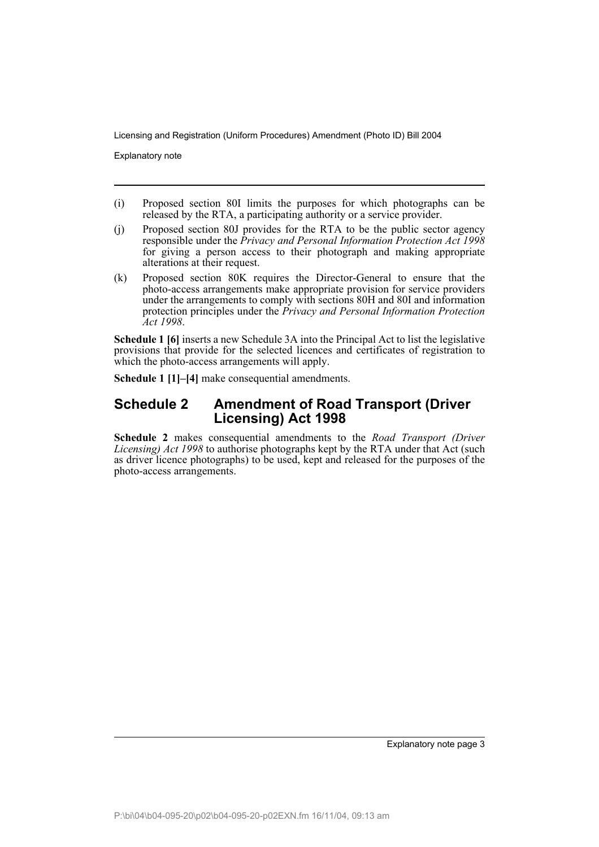Explanatory note

- (i) Proposed section 80I limits the purposes for which photographs can be released by the RTA, a participating authority or a service provider.
- (j) Proposed section 80J provides for the RTA to be the public sector agency responsible under the *Privacy and Personal Information Protection Act 1998* for giving a person access to their photograph and making appropriate alterations at their request.
- (k) Proposed section 80K requires the Director-General to ensure that the photo-access arrangements make appropriate provision for service providers under the arrangements to comply with sections 80H and 80I and information protection principles under the *Privacy and Personal Information Protection Act 1998*.

**Schedule 1 [6]** inserts a new Schedule 3A into the Principal Act to list the legislative provisions that provide for the selected licences and certificates of registration to which the photo-access arrangements will apply.

**Schedule 1 [1]–[4]** make consequential amendments.

## **Schedule 2 Amendment of Road Transport (Driver Licensing) Act 1998**

**Schedule 2** makes consequential amendments to the *Road Transport (Driver Licensing) Act 1998* to authorise photographs kept by the RTA under that Act (such as driver licence photographs) to be used, kept and released for the purposes of the photo-access arrangements.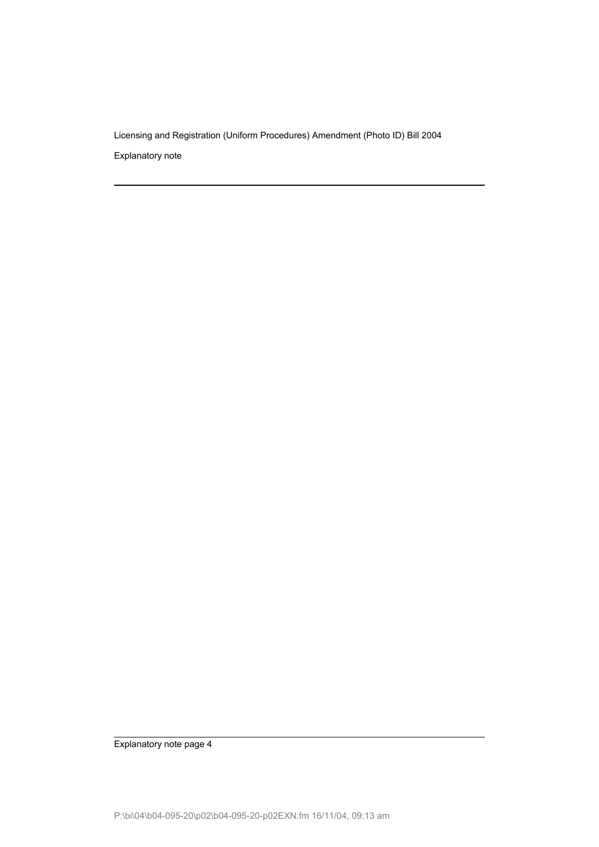Licensing and Registration (Uniform Procedures) Amendment (Photo ID) Bill 2004 Explanatory note

Explanatory note page 4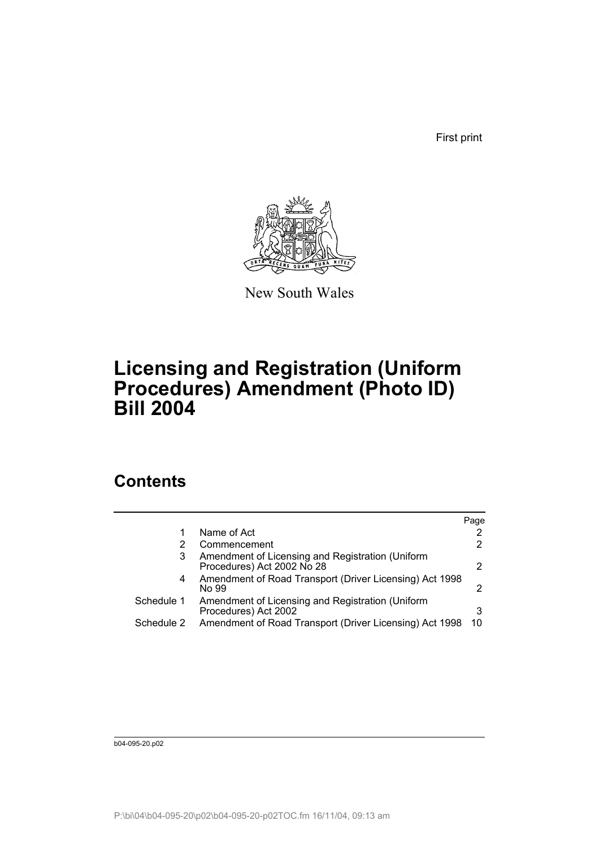First print



New South Wales

## **Licensing and Registration (Uniform Procedures) Amendment (Photo ID) Bill 2004**

## **Contents**

|            |                                                                                | Page           |
|------------|--------------------------------------------------------------------------------|----------------|
|            | Name of Act                                                                    | $\overline{2}$ |
|            | Commencement                                                                   | $\overline{2}$ |
| 3          | Amendment of Licensing and Registration (Uniform<br>Procedures) Act 2002 No 28 | $\overline{2}$ |
| 4          | Amendment of Road Transport (Driver Licensing) Act 1998<br>No 99               | 2              |
| Schedule 1 | Amendment of Licensing and Registration (Uniform<br>Procedures) Act 2002       | 3              |
| Schedule 2 | Amendment of Road Transport (Driver Licensing) Act 1998                        | 10             |
|            |                                                                                |                |

b04-095-20.p02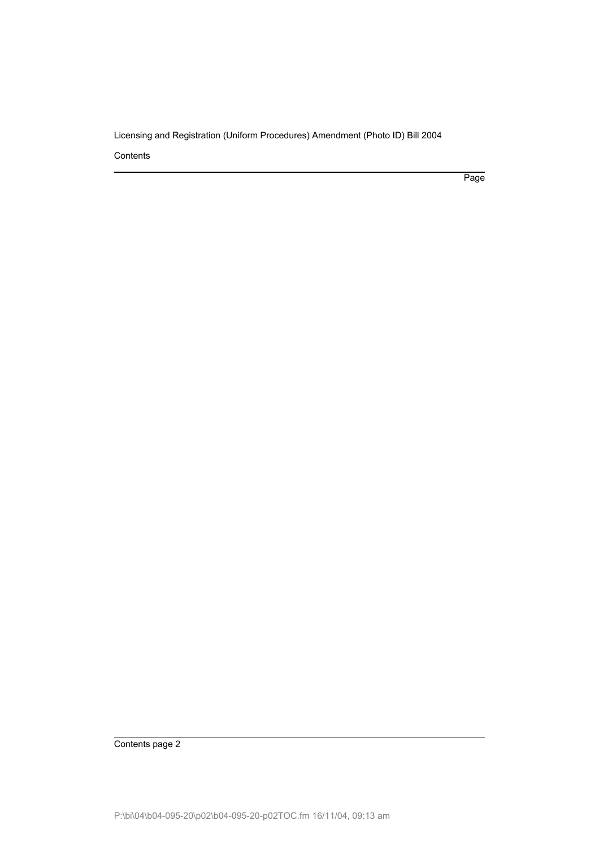**Contents** 

Page

Contents page 2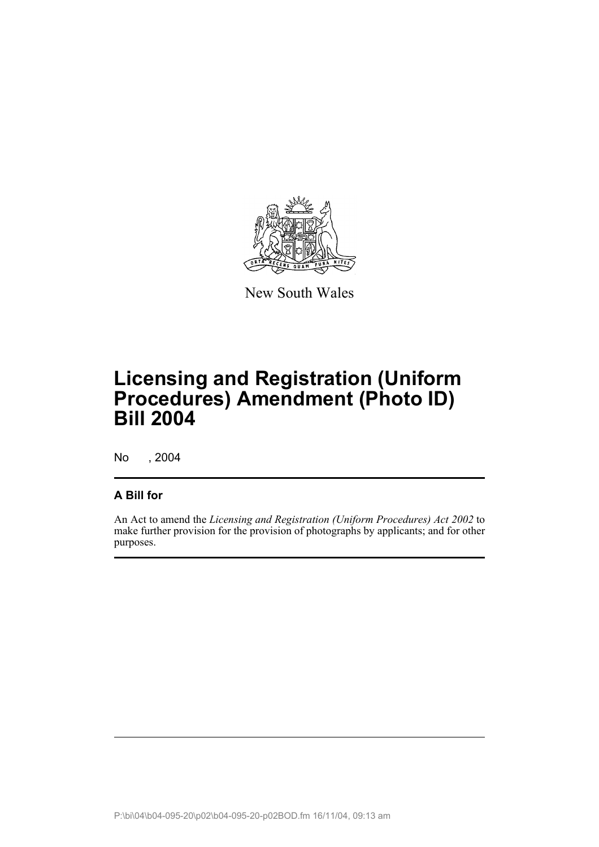

New South Wales

# **Licensing and Registration (Uniform Procedures) Amendment (Photo ID) Bill 2004**

No , 2004

### **A Bill for**

An Act to amend the *Licensing and Registration (Uniform Procedures) Act 2002* to make further provision for the provision of photographs by applicants; and for other purposes.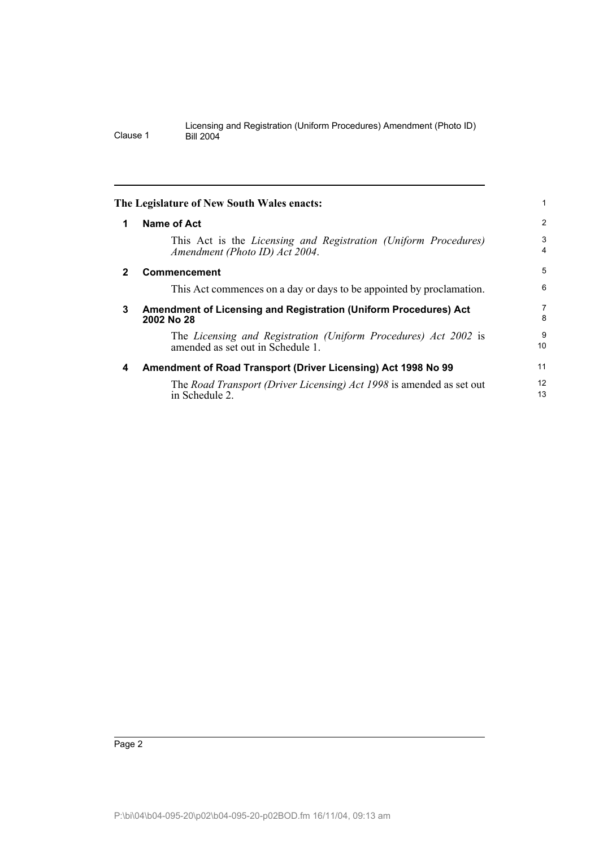|              | The Legislature of New South Wales enacts:                                                           |                |
|--------------|------------------------------------------------------------------------------------------------------|----------------|
| 1            | Name of Act                                                                                          | $\overline{2}$ |
|              | This Act is the Licensing and Registration (Uniform Procedures)<br>Amendment (Photo ID) Act 2004.    | 3<br>4         |
| $\mathbf{2}$ | <b>Commencement</b>                                                                                  | 5              |
|              | This Act commences on a day or days to be appointed by proclamation.                                 | 6              |
| 3            | Amendment of Licensing and Registration (Uniform Procedures) Act<br>2002 No 28                       | 7<br>8         |
|              | The Licensing and Registration (Uniform Procedures) Act 2002 is<br>amended as set out in Schedule 1. | 9<br>10        |
| 4            | Amendment of Road Transport (Driver Licensing) Act 1998 No 99                                        | 11             |
|              | The Road Transport (Driver Licensing) Act 1998 is amended as set out<br>in Schedule 2.               | 12<br>13       |
|              |                                                                                                      |                |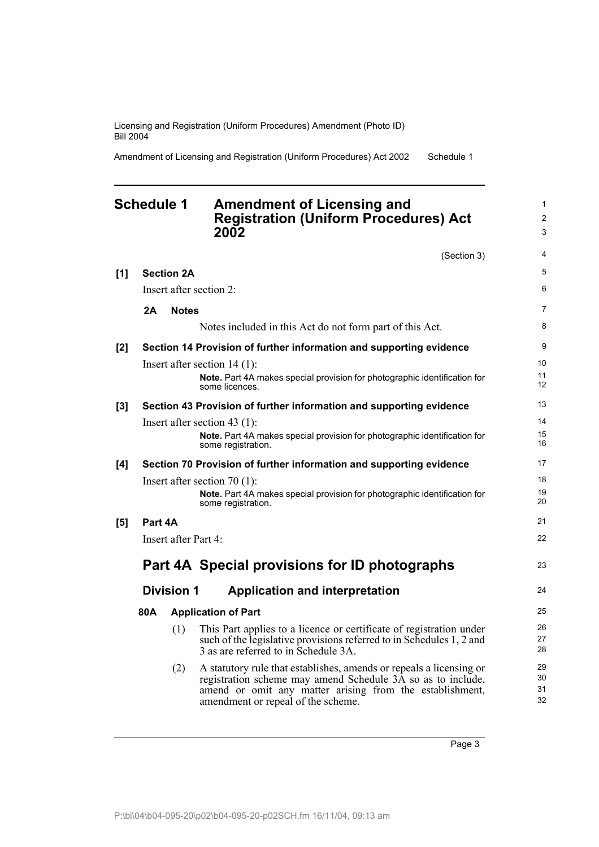Amendment of Licensing and Registration (Uniform Procedures) Act 2002 Schedule 1

## **Schedule 1 Amendment of Licensing and Registration (Uniform Procedures) Act 2002**

|     |         |                   | (Section 3)                                                                                                                                                                                                                          | 4                    |
|-----|---------|-------------------|--------------------------------------------------------------------------------------------------------------------------------------------------------------------------------------------------------------------------------------|----------------------|
| [1] |         | <b>Section 2A</b> |                                                                                                                                                                                                                                      | 5                    |
|     |         |                   | Insert after section 2:                                                                                                                                                                                                              | 6                    |
|     | 2A      | <b>Notes</b>      |                                                                                                                                                                                                                                      | 7                    |
|     |         |                   | Notes included in this Act do not form part of this Act.                                                                                                                                                                             | 8                    |
| [2] |         |                   | Section 14 Provision of further information and supporting evidence                                                                                                                                                                  | $\boldsymbol{9}$     |
|     |         |                   | Insert after section $14(1)$ :                                                                                                                                                                                                       | 10                   |
|     |         |                   | Note. Part 4A makes special provision for photographic identification for<br>some licences.                                                                                                                                          | 11<br>12             |
| [3] |         |                   | Section 43 Provision of further information and supporting evidence                                                                                                                                                                  | 13                   |
|     |         |                   | Insert after section 43 $(1)$ :                                                                                                                                                                                                      | 14                   |
|     |         |                   | Note. Part 4A makes special provision for photographic identification for<br>some registration.                                                                                                                                      | 15<br>16             |
| [4] |         |                   | Section 70 Provision of further information and supporting evidence                                                                                                                                                                  | 17                   |
|     |         |                   | Insert after section 70 $(1)$ :                                                                                                                                                                                                      | 18                   |
|     |         |                   | Note. Part 4A makes special provision for photographic identification for<br>some registration.                                                                                                                                      | 19<br>20             |
| [5] | Part 4A |                   |                                                                                                                                                                                                                                      | 21                   |
|     |         |                   | Insert after Part 4:                                                                                                                                                                                                                 | 22                   |
|     |         |                   | Part 4A Special provisions for ID photographs                                                                                                                                                                                        | 23                   |
|     |         | <b>Division 1</b> | <b>Application and interpretation</b>                                                                                                                                                                                                | 24                   |
|     | 80A     |                   | <b>Application of Part</b>                                                                                                                                                                                                           | 25                   |
|     |         | (1)               | This Part applies to a licence or certificate of registration under<br>such of the legislative provisions referred to in Schedules 1, 2 and<br>3 as are referred to in Schedule 3A.                                                  | 26<br>27<br>28       |
|     |         | (2)               | A statutory rule that establishes, amends or repeals a licensing or<br>registration scheme may amend Schedule 3A so as to include,<br>amend or omit any matter arising from the establishment,<br>amendment or repeal of the scheme. | 29<br>30<br>31<br>32 |

Page 3

1  $\overline{2}$ 3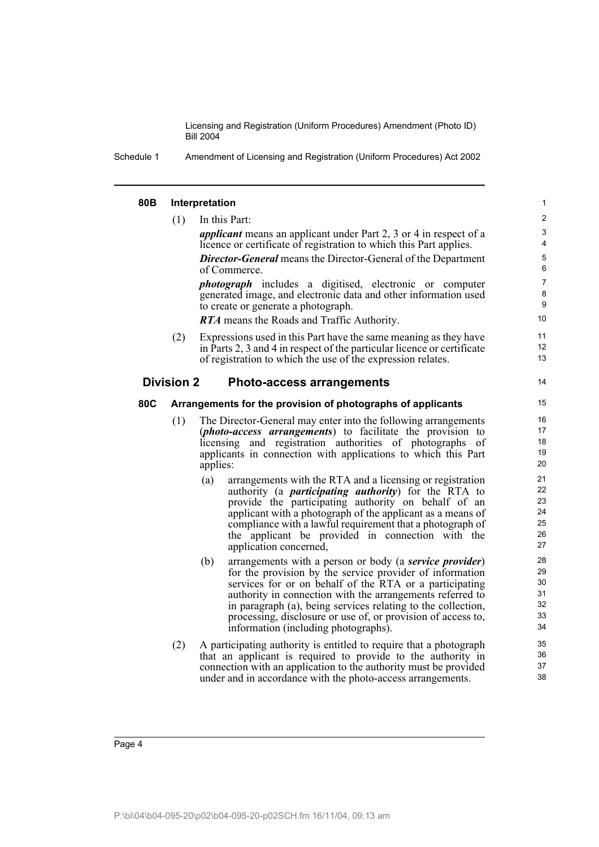Schedule 1 Amendment of Licensing and Registration (Uniform Procedures) Act 2002

#### **80B Interpretation**

(1) In this Part: *applicant* means an applicant under Part 2, 3 or 4 in respect of a licence or certificate of registration to which this Part applies. *Director-General* means the Director-General of the Department of Commerce. *photograph* includes a digitised, electronic or computer generated image, and electronic data and other information used to create or generate a photograph. *RTA* means the Roads and Traffic Authority. (2) Expressions used in this Part have the same meaning as they have in Parts 2, 3 and 4 in respect of the particular licence or certificate of registration to which the use of the expression relates. **Division 2 Photo-access arrangements**

14

### **80C Arrangements for the provision of photographs of applicants**

- (1) The Director-General may enter into the following arrangements (*photo-access arrangements*) to facilitate the provision to licensing and registration authorities of photographs of applicants in connection with applications to which this Part applies:
	- (a) arrangements with the RTA and a licensing or registration authority (a *participating authority*) for the RTA to provide the participating authority on behalf of an applicant with a photograph of the applicant as a means of compliance with a lawful requirement that a photograph of the applicant be provided in connection with the application concerned,
	- (b) arrangements with a person or body (a *service provider*) for the provision by the service provider of information services for or on behalf of the RTA or a participating authority in connection with the arrangements referred to in paragraph (a), being services relating to the collection, processing, disclosure or use of, or provision of access to, information (including photographs).
- (2) A participating authority is entitled to require that a photograph that an applicant is required to provide to the authority in connection with an application to the authority must be provided under and in accordance with the photo-access arrangements.

Page 4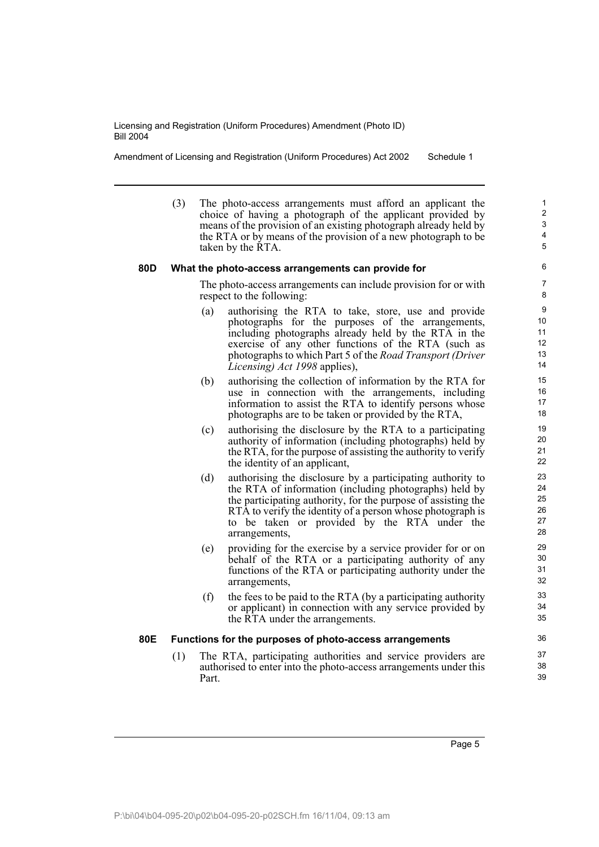Amendment of Licensing and Registration (Uniform Procedures) Act 2002 Schedule 1

(3) The photo-access arrangements must afford an applicant the choice of having a photograph of the applicant provided by means of the provision of an existing photograph already held by the RTA or by means of the provision of a new photograph to be taken by the RTA.

#### **80D What the photo-access arrangements can provide for**

The photo-access arrangements can include provision for or with respect to the following:

- (a) authorising the RTA to take, store, use and provide photographs for the purposes of the arrangements, including photographs already held by the RTA in the exercise of any other functions of the RTA (such as photographs to which Part 5 of the *Road Transport (Driver Licensing) Act 1998* applies),
- (b) authorising the collection of information by the RTA for use in connection with the arrangements, including information to assist the RTA to identify persons whose photographs are to be taken or provided by the RTA,
- (c) authorising the disclosure by the RTA to a participating authority of information (including photographs) held by the RTA, for the purpose of assisting the authority to verify the identity of an applicant,
- (d) authorising the disclosure by a participating authority to the RTA of information (including photographs) held by the participating authority, for the purpose of assisting the RTA to verify the identity of a person whose photograph is to be taken or provided by the RTA under the arrangements,
- (e) providing for the exercise by a service provider for or on behalf of the RTA or a participating authority of any functions of the RTA or participating authority under the arrangements,
- (f) the fees to be paid to the RTA (by a participating authority or applicant) in connection with any service provided by the RTA under the arrangements.

#### **80E Functions for the purposes of photo-access arrangements**

(1) The RTA, participating authorities and service providers are authorised to enter into the photo-access arrangements under this Part.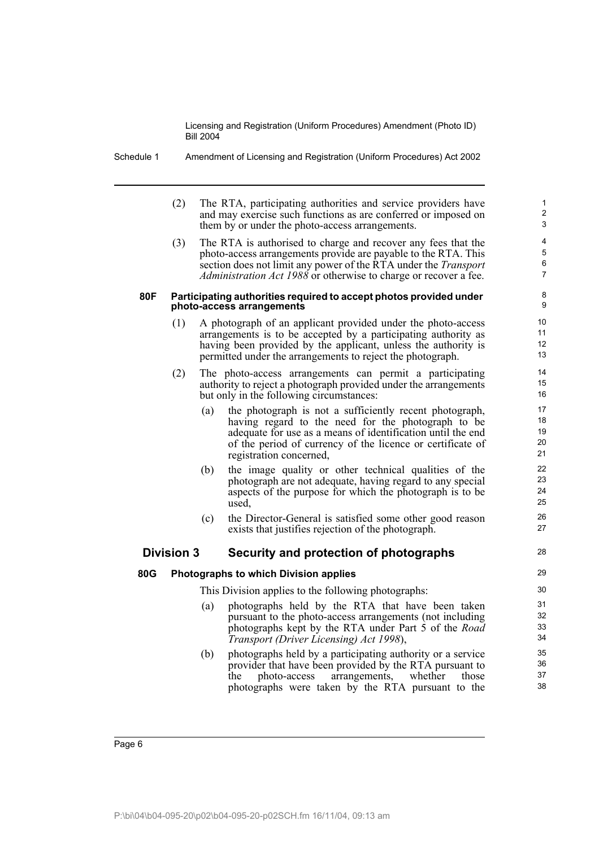- Schedule 1 Amendment of Licensing and Registration (Uniform Procedures) Act 2002
	- (2) The RTA, participating authorities and service providers have and may exercise such functions as are conferred or imposed on them by or under the photo-access arrangements.

28

(3) The RTA is authorised to charge and recover any fees that the photo-access arrangements provide are payable to the RTA. This section does not limit any power of the RTA under the *Transport Administration Act 1988* or otherwise to charge or recover a fee.

#### **80F Participating authorities required to accept photos provided under photo-access arrangements**

- (1) A photograph of an applicant provided under the photo-access arrangements is to be accepted by a participating authority as having been provided by the applicant, unless the authority is permitted under the arrangements to reject the photograph.
- (2) The photo-access arrangements can permit a participating authority to reject a photograph provided under the arrangements but only in the following circumstances:
	- (a) the photograph is not a sufficiently recent photograph, having regard to the need for the photograph to be adequate for use as a means of identification until the end of the period of currency of the licence or certificate of registration concerned,
	- (b) the image quality or other technical qualities of the photograph are not adequate, having regard to any special aspects of the purpose for which the photograph is to be used,
	- (c) the Director-General is satisfied some other good reason exists that justifies rejection of the photograph.

### **Division 3 Security and protection of photographs**

#### **80G Photographs to which Division applies**

This Division applies to the following photographs:

- (a) photographs held by the RTA that have been taken pursuant to the photo-access arrangements (not including photographs kept by the RTA under Part 5 of the *Road Transport (Driver Licensing) Act 1998*),
- (b) photographs held by a participating authority or a service provider that have been provided by the RTA pursuant to the photo-access arrangements, whether those photographs were taken by the RTA pursuant to the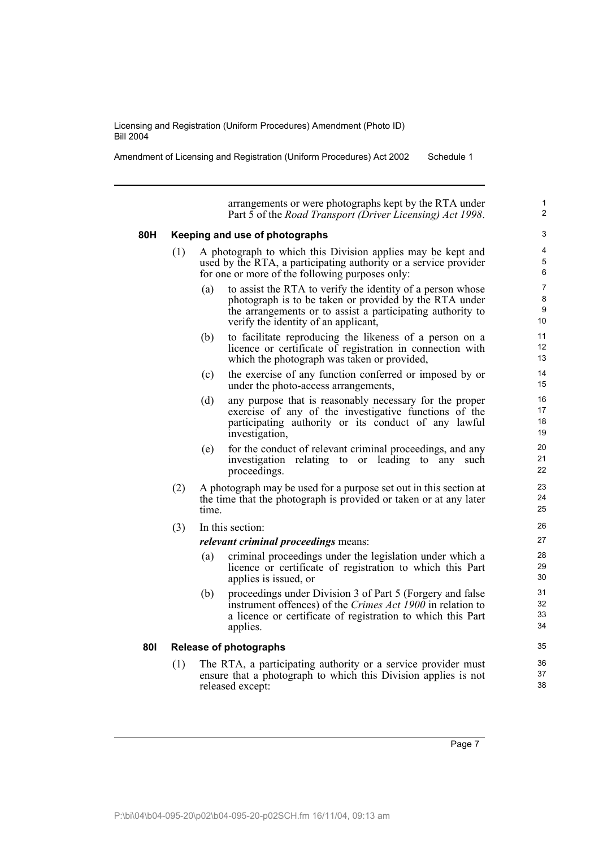Amendment of Licensing and Registration (Uniform Procedures) Act 2002 Schedule 1

arrangements or were photographs kept by the RTA under Part 5 of the *Road Transport (Driver Licensing) Act 1998*.

#### **80H Keeping and use of photographs**

- (1) A photograph to which this Division applies may be kept and used by the RTA, a participating authority or a service provider for one or more of the following purposes only:
	- (a) to assist the RTA to verify the identity of a person whose photograph is to be taken or provided by the RTA under the arrangements or to assist a participating authority to verify the identity of an applicant,
	- (b) to facilitate reproducing the likeness of a person on a licence or certificate of registration in connection with which the photograph was taken or provided,
	- (c) the exercise of any function conferred or imposed by or under the photo-access arrangements,
	- (d) any purpose that is reasonably necessary for the proper exercise of any of the investigative functions of the participating authority or its conduct of any lawful investigation,
	- (e) for the conduct of relevant criminal proceedings, and any investigation relating to or leading to any such proceedings.
- (2) A photograph may be used for a purpose set out in this section at the time that the photograph is provided or taken or at any later time.

#### (3) In this section:

#### *relevant criminal proceedings* means:

- (a) criminal proceedings under the legislation under which a licence or certificate of registration to which this Part applies is issued, or
- (b) proceedings under Division 3 of Part 5 (Forgery and false instrument offences) of the *Crimes Act 1900* in relation to a licence or certificate of registration to which this Part applies.

#### **80I Release of photographs**

(1) The RTA, a participating authority or a service provider must ensure that a photograph to which this Division applies is not released except:

Page 7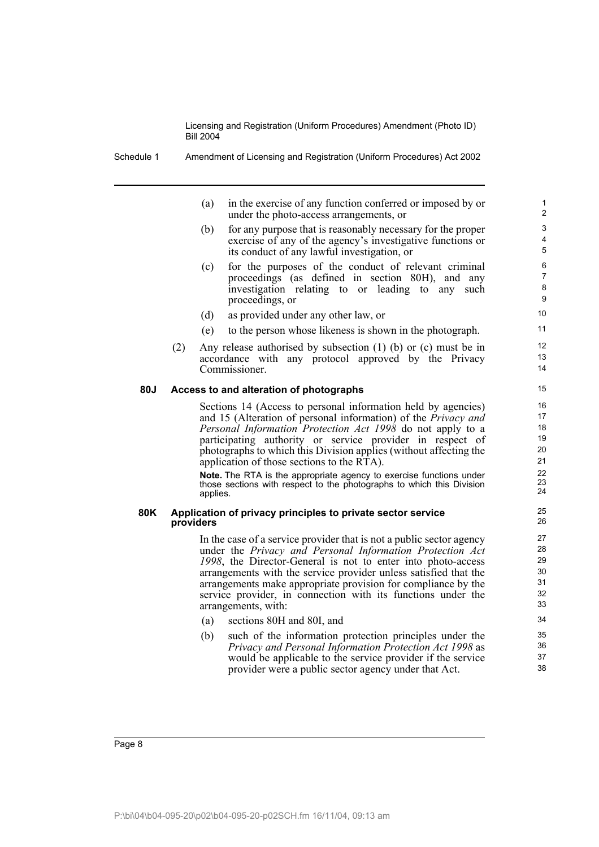Schedule 1 Amendment of Licensing and Registration (Uniform Procedures) Act 2002

(a) in the exercise of any function conferred or imposed by or under the photo-access arrangements, or

- (b) for any purpose that is reasonably necessary for the proper exercise of any of the agency's investigative functions or its conduct of any lawful investigation, or
- (c) for the purposes of the conduct of relevant criminal proceedings (as defined in section 80H), and any investigation relating to or leading to any such proceedings, or
- (d) as provided under any other law, or
- (e) to the person whose likeness is shown in the photograph.
- (2) Any release authorised by subsection (1) (b) or (c) must be in accordance with any protocol approved by the Privacy Commissioner.

#### **80J Access to and alteration of photographs**

Sections 14 (Access to personal information held by agencies) and 15 (Alteration of personal information) of the *Privacy and Personal Information Protection Act 1998* do not apply to a participating authority or service provider in respect of photographs to which this Division applies (without affecting the application of those sections to the RTA).

**Note.** The RTA is the appropriate agency to exercise functions under those sections with respect to the photographs to which this Division applies.

#### **80K Application of privacy principles to private sector service providers**

In the case of a service provider that is not a public sector agency under the *Privacy and Personal Information Protection Act 1998*, the Director-General is not to enter into photo-access arrangements with the service provider unless satisfied that the arrangements make appropriate provision for compliance by the service provider, in connection with its functions under the arrangements, with:

- (a) sections 80H and 80I, and
- (b) such of the information protection principles under the *Privacy and Personal Information Protection Act 1998* as would be applicable to the service provider if the service provider were a public sector agency under that Act.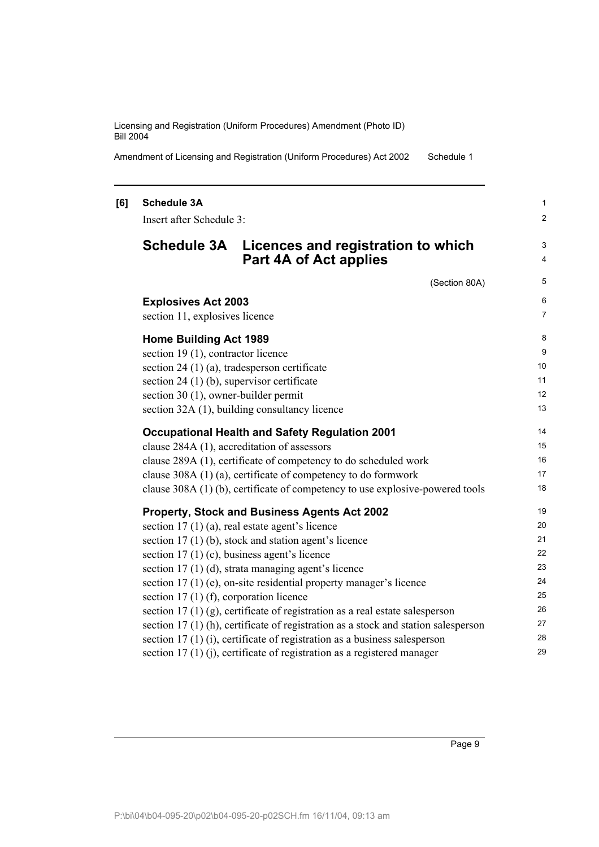| Licensing and Registration (Uniform Procedures) Amendment (Photo ID) |  |
|----------------------------------------------------------------------|--|
| <b>Bill 2004</b>                                                     |  |

Amendment of Licensing and Registration (Uniform Procedures) Act 2002 Schedule 1

| [6] | <b>Schedule 3A</b><br>Insert after Schedule 3: |                                                                                     | 1<br>$\overline{2}$ |
|-----|------------------------------------------------|-------------------------------------------------------------------------------------|---------------------|
|     | <b>Schedule 3A</b>                             | Licences and registration to which<br>Part 4A of Act applies                        | 3<br>4              |
|     |                                                | (Section 80A)                                                                       | 5                   |
|     | <b>Explosives Act 2003</b>                     |                                                                                     | 6                   |
|     | section 11, explosives licence                 |                                                                                     | 7                   |
|     | <b>Home Building Act 1989</b>                  |                                                                                     | 8                   |
|     | section 19 $(1)$ , contractor licence          |                                                                                     | 9                   |
|     |                                                | section 24 $(1)$ (a), tradesperson certificate                                      | 10                  |
|     | section 24 $(1)$ (b), supervisor certificate   |                                                                                     | 11                  |
|     | section 30 $(1)$ , owner-builder permit        |                                                                                     | 12                  |
|     |                                                | section 32A (1), building consultancy licence                                       | 13                  |
|     |                                                | <b>Occupational Health and Safety Regulation 2001</b>                               | 14                  |
|     |                                                | clause 284A (1), accreditation of assessors                                         | 15                  |
|     |                                                | clause 289A (1), certificate of competency to do scheduled work                     | 16                  |
|     |                                                | clause 308A (1) (a), certificate of competency to do formwork                       | 17                  |
|     |                                                | clause 308A (1) (b), certificate of competency to use explosive-powered tools       | 18                  |
|     |                                                | Property, Stock and Business Agents Act 2002                                        | 19                  |
|     |                                                | section $17(1)(a)$ , real estate agent's licence                                    | 20                  |
|     |                                                | section 17 (1) (b), stock and station agent's licence                               | 21                  |
|     |                                                | section 17 $(1)$ (c), business agent's licence                                      | 22                  |
|     |                                                | section $17(1)(d)$ , strata managing agent's licence                                | 23                  |
|     |                                                | section 17 (1) (e), on-site residential property manager's licence                  | 24                  |
|     | section 17 (1) (f), corporation licence        |                                                                                     | 25                  |
|     |                                                | section $17(1)(g)$ , certificate of registration as a real estate salesperson       | 26                  |
|     |                                                | section $17(1)$ (h), certificate of registration as a stock and station salesperson | 27                  |
|     |                                                | section 17 (1) (i), certificate of registration as a business salesperson           | 28                  |
|     |                                                | section 17 (1) (j), certificate of registration as a registered manager             | 29                  |